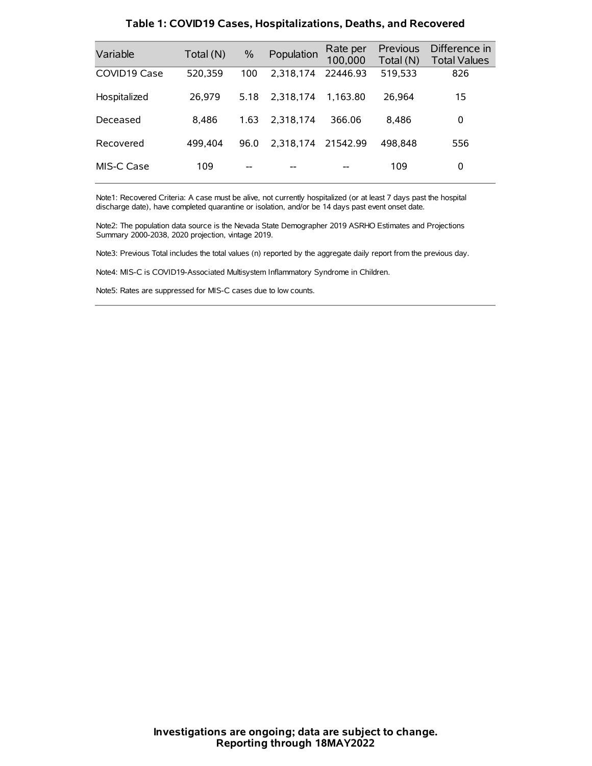| Variable     | Total (N) | $\%$ | Population | Rate per<br>100,000 | <b>Previous</b><br>Total (N) | Difference in<br><b>Total Values</b> |
|--------------|-----------|------|------------|---------------------|------------------------------|--------------------------------------|
| COVID19 Case | 520,359   | 100  | 2.318.174  | 22446.93            | 519,533                      | 826                                  |
| Hospitalized | 26.979    | 5.18 | 2.318.174  | 1.163.80            | 26.964                       | 15                                   |
| Deceased     | 8.486     | 1.63 | 2.318.174  | 366.06              | 8.486                        | 0                                    |
| Recovered    | 499.404   | 96.0 | 2,318,174  | 21542.99            | 498.848                      | 556                                  |
| MIS-C Case   | 109       | --   |            |                     | 109                          | 0                                    |

#### **Table 1: COVID19 Cases, Hospitalizations, Deaths, and Recovered**

Note1: Recovered Criteria: A case must be alive, not currently hospitalized (or at least 7 days past the hospital discharge date), have completed quarantine or isolation, and/or be 14 days past event onset date.

Note2: The population data source is the Nevada State Demographer 2019 ASRHO Estimates and Projections Summary 2000-2038, 2020 projection, vintage 2019.

Note3: Previous Total includes the total values (n) reported by the aggregate daily report from the previous day.

Note4: MIS-C is COVID19-Associated Multisystem Inflammatory Syndrome in Children.

Note5: Rates are suppressed for MIS-C cases due to low counts.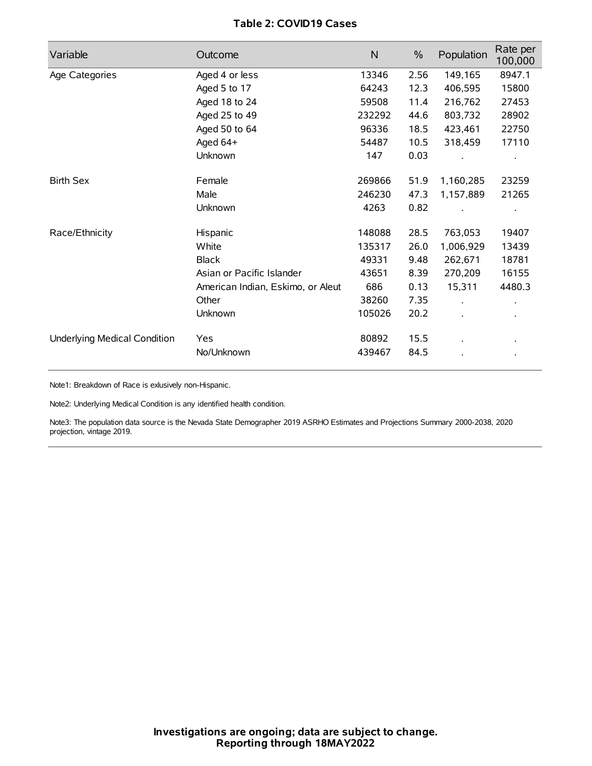# **Table 2: COVID19 Cases**

| Variable                     | Outcome                           | $\mathsf{N}$ | $\%$ | Population           | Rate per<br>100,000 |
|------------------------------|-----------------------------------|--------------|------|----------------------|---------------------|
| Age Categories               | Aged 4 or less                    | 13346        | 2.56 | 149,165              | 8947.1              |
|                              | Aged 5 to 17                      | 64243        | 12.3 | 406,595              | 15800               |
|                              | Aged 18 to 24                     | 59508        | 11.4 | 216,762              | 27453               |
|                              | Aged 25 to 49                     | 232292       | 44.6 | 803,732              | 28902               |
|                              | Aged 50 to 64                     | 96336        | 18.5 | 423,461              | 22750               |
|                              | Aged 64+                          | 54487        | 10.5 | 318,459              | 17110               |
|                              | Unknown                           | 147          | 0.03 |                      |                     |
| <b>Birth Sex</b>             | Female                            | 269866       | 51.9 | 1,160,285            | 23259               |
|                              | Male                              | 246230       | 47.3 | 1,157,889            | 21265               |
|                              | Unknown                           | 4263         | 0.82 |                      |                     |
| Race/Ethnicity               | Hispanic                          | 148088       | 28.5 | 763,053              | 19407               |
|                              | White                             | 135317       | 26.0 | 1,006,929            | 13439               |
|                              | <b>Black</b>                      | 49331        | 9.48 | 262,671              | 18781               |
|                              | Asian or Pacific Islander         | 43651        | 8.39 | 270,209              | 16155               |
|                              | American Indian, Eskimo, or Aleut | 686          | 0.13 | 15,311               | 4480.3              |
|                              | Other                             | 38260        | 7.35 | $\ddot{\phantom{0}}$ |                     |
|                              | Unknown                           | 105026       | 20.2 |                      |                     |
| Underlying Medical Condition | Yes                               | 80892        | 15.5 |                      |                     |
|                              | No/Unknown                        | 439467       | 84.5 |                      |                     |

Note1: Breakdown of Race is exlusively non-Hispanic.

Note2: Underlying Medical Condition is any identified health condition.

Note3: The population data source is the Nevada State Demographer 2019 ASRHO Estimates and Projections Summary 2000-2038, 2020 projection, vintage 2019.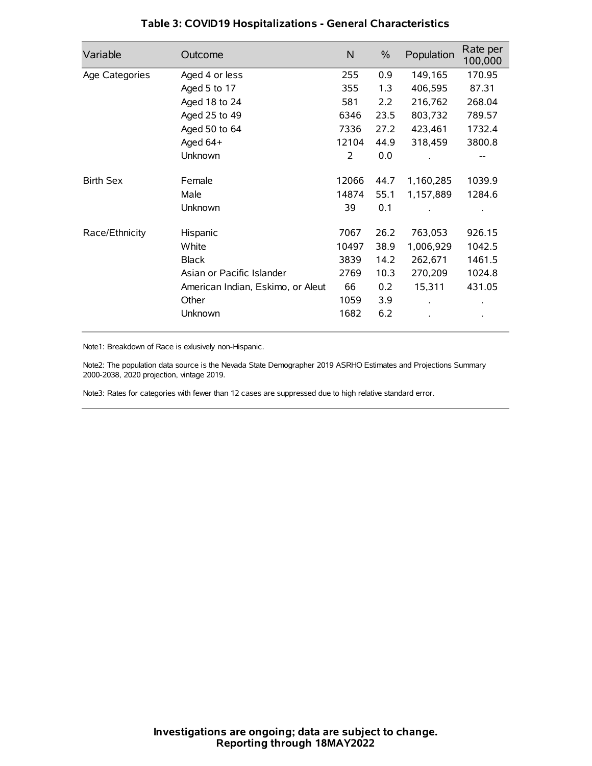| Variable         | Outcome                           | $\mathsf{N}$ | $\%$ | Population | Rate per<br>100,000 |
|------------------|-----------------------------------|--------------|------|------------|---------------------|
| Age Categories   | Aged 4 or less                    | 255          | 0.9  | 149,165    | 170.95              |
|                  | Aged 5 to 17                      | 355          | 1.3  | 406,595    | 87.31               |
|                  | Aged 18 to 24                     | 581          | 2.2  | 216,762    | 268.04              |
|                  | Aged 25 to 49                     | 6346         | 23.5 | 803,732    | 789.57              |
|                  | Aged 50 to 64                     | 7336         | 27.2 | 423,461    | 1732.4              |
|                  | Aged 64+                          | 12104        | 44.9 | 318,459    | 3800.8              |
|                  | Unknown                           | 2            | 0.0  |            |                     |
| <b>Birth Sex</b> | Female                            | 12066        | 44.7 | 1,160,285  | 1039.9              |
|                  | Male                              | 14874        | 55.1 | 1,157,889  | 1284.6              |
|                  | Unknown                           | 39           | 0.1  |            |                     |
| Race/Ethnicity   | Hispanic                          | 7067         | 26.2 | 763,053    | 926.15              |
|                  | White                             | 10497        | 38.9 | 1,006,929  | 1042.5              |
|                  | <b>Black</b>                      | 3839         | 14.2 | 262,671    | 1461.5              |
|                  | Asian or Pacific Islander         | 2769         | 10.3 | 270,209    | 1024.8              |
|                  | American Indian, Eskimo, or Aleut | 66           | 0.2  | 15,311     | 431.05              |
|                  | Other                             | 1059         | 3.9  |            |                     |
|                  | Unknown                           | 1682         | 6.2  |            |                     |

## **Table 3: COVID19 Hospitalizations - General Characteristics**

Note1: Breakdown of Race is exlusively non-Hispanic.

Note2: The population data source is the Nevada State Demographer 2019 ASRHO Estimates and Projections Summary 2000-2038, 2020 projection, vintage 2019.

Note3: Rates for categories with fewer than 12 cases are suppressed due to high relative standard error.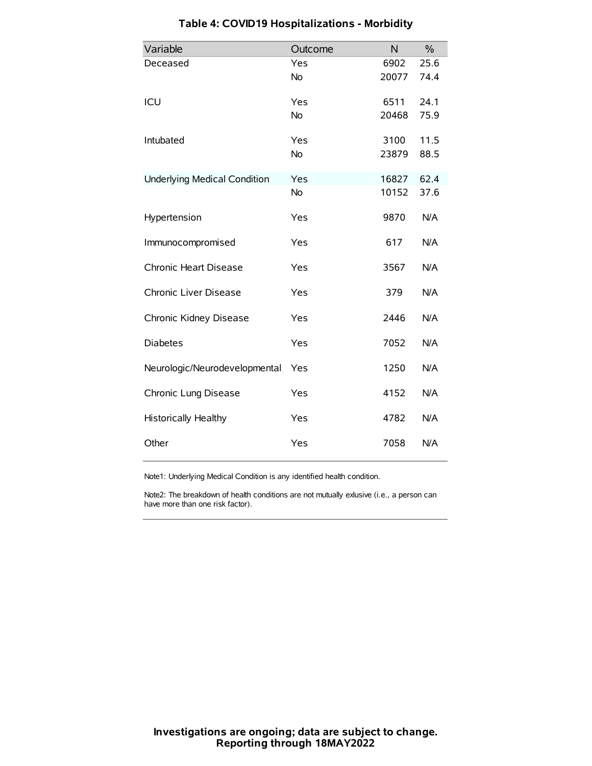| Variable                            | Outcome   | N     | $\frac{0}{0}$ |
|-------------------------------------|-----------|-------|---------------|
| Deceased                            | Yes       | 6902  | 25.6          |
|                                     | No        | 20077 | 74.4          |
| ICU                                 | Yes       | 6511  | 24.1          |
|                                     | <b>No</b> | 20468 | 75.9          |
| Intubated                           | Yes       | 3100  | 11.5          |
|                                     | No        | 23879 | 88.5          |
| <b>Underlying Medical Condition</b> | Yes       | 16827 | 62.4          |
|                                     | <b>No</b> | 10152 | 37.6          |
| Hypertension                        | Yes       | 9870  | N/A           |
| Immunocompromised                   | Yes       | 617   | N/A           |
| Chronic Heart Disease               | Yes       | 3567  | N/A           |
| Chronic Liver Disease               | Yes       | 379   | N/A           |
| Chronic Kidney Disease              | Yes       | 2446  | N/A           |
| <b>Diabetes</b>                     | Yes       | 7052  | N/A           |
| Neurologic/Neurodevelopmental       | Yes       | 1250  | N/A           |
| Chronic Lung Disease                | Yes       | 4152  | N/A           |
| Historically Healthy                | Yes       | 4782  | N/A           |
| Other                               | Yes       | 7058  | N/A           |

# **Table 4: COVID19 Hospitalizations - Morbidity**

Note1: Underlying Medical Condition is any identified health condition.

Note2: The breakdown of health conditions are not mutually exlusive (i.e., a person can have more than one risk factor).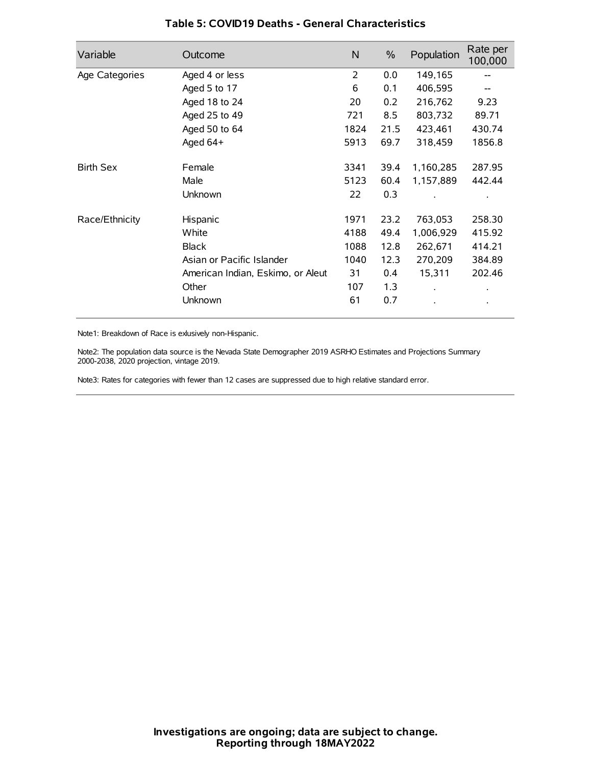| Variable         | Outcome                           | N              | $\%$ | Population           | Rate per<br>100,000 |
|------------------|-----------------------------------|----------------|------|----------------------|---------------------|
| Age Categories   | Aged 4 or less                    | $\overline{2}$ | 0.0  | 149,165              |                     |
|                  | Aged 5 to 17                      | 6              | 0.1  | 406,595              |                     |
|                  | Aged 18 to 24                     | 20             | 0.2  | 216,762              | 9.23                |
|                  | Aged 25 to 49                     | 721            | 8.5  | 803,732              | 89.71               |
|                  | Aged 50 to 64                     | 1824           | 21.5 | 423,461              | 430.74              |
|                  | Aged 64+                          | 5913           | 69.7 | 318,459              | 1856.8              |
| <b>Birth Sex</b> | Female                            | 3341           | 39.4 | 1,160,285            | 287.95              |
|                  | Male                              | 5123           | 60.4 | 1,157,889            | 442.44              |
|                  | Unknown                           | 22             | 0.3  |                      |                     |
| Race/Ethnicity   | Hispanic                          | 1971           | 23.2 | 763,053              | 258.30              |
|                  | White                             | 4188           | 49.4 | 1,006,929            | 415.92              |
|                  | <b>Black</b>                      | 1088           | 12.8 | 262,671              | 414.21              |
|                  | Asian or Pacific Islander         | 1040           | 12.3 | 270,209              | 384.89              |
|                  | American Indian, Eskimo, or Aleut | 31             | 0.4  | 15,311               | 202.46              |
|                  | Other                             | 107            | 1.3  | $\ddot{\phantom{0}}$ | $\bullet$           |
|                  | Unknown                           | 61             | 0.7  |                      | $\bullet$           |

## **Table 5: COVID19 Deaths - General Characteristics**

Note1: Breakdown of Race is exlusively non-Hispanic.

Note2: The population data source is the Nevada State Demographer 2019 ASRHO Estimates and Projections Summary 2000-2038, 2020 projection, vintage 2019.

Note3: Rates for categories with fewer than 12 cases are suppressed due to high relative standard error.